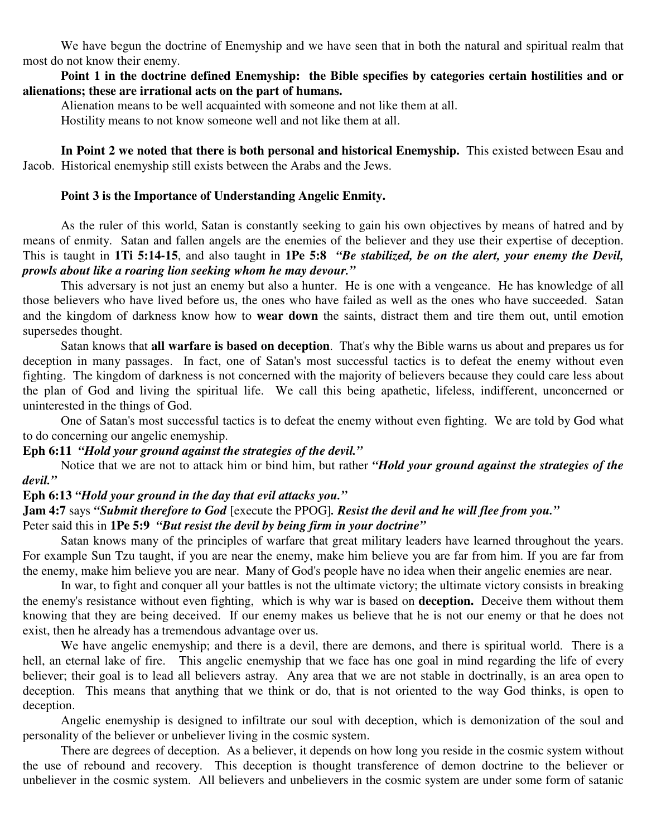We have begun the doctrine of Enemyship and we have seen that in both the natural and spiritual realm that most do not know their enemy.

**Point 1 in the doctrine defined Enemyship: the Bible specifies by categories certain hostilities and or alienations; these are irrational acts on the part of humans.**

Alienation means to be well acquainted with someone and not like them at all.

Hostility means to not know someone well and not like them at all.

**In Point 2 we noted that there is both personal and historical Enemyship.** This existed between Esau and Jacob. Historical enemyship still exists between the Arabs and the Jews.

#### **Point 3 is the Importance of Understanding Angelic Enmity.**

As the ruler of this world, Satan is constantly seeking to gain his own objectives by means of hatred and by means of enmity. Satan and fallen angels are the enemies of the believer and they use their expertise of deception. This is taught in **1Ti 5:14-15**, and also taught in **1Pe 5:8** *"Be stabilized, be on the alert, your enemy the Devil, prowls about like a roaring lion seeking whom he may devour."*

This adversary is not just an enemy but also a hunter. He is one with a vengeance. He has knowledge of all those believers who have lived before us, the ones who have failed as well as the ones who have succeeded. Satan and the kingdom of darkness know how to **wear down** the saints, distract them and tire them out, until emotion supersedes thought.

Satan knows that **all warfare is based on deception**. That's why the Bible warns us about and prepares us for deception in many passages. In fact, one of Satan's most successful tactics is to defeat the enemy without even fighting. The kingdom of darkness is not concerned with the majority of believers because they could care less about the plan of God and living the spiritual life. We call this being apathetic, lifeless, indifferent, unconcerned or uninterested in the things of God.

One of Satan's most successful tactics is to defeat the enemy without even fighting. We are told by God what to do concerning our angelic enemyship.

#### **Eph 6:11** *"Hold your ground against the strategies of the devil."*

Notice that we are not to attack him or bind him, but rather *"Hold your ground against the strategies of the devil."*

# **Eph 6:13** *"Hold your ground in the day that evil attacks you."*

# **Jam 4:7** says *"Submit therefore to God* [execute the PPOG]*. Resist the devil and he will flee from you."*

### Peter said this in **1Pe 5:9** *"But resist the devil by being firm in your doctrine"*

Satan knows many of the principles of warfare that great military leaders have learned throughout the years. For example Sun Tzu taught, if you are near the enemy, make him believe you are far from him. If you are far from the enemy, make him believe you are near. Many of God's people have no idea when their angelic enemies are near.

In war, to fight and conquer all your battles is not the ultimate victory; the ultimate victory consists in breaking the enemy's resistance without even fighting, which is why war is based on **deception.** Deceive them without them knowing that they are being deceived. If our enemy makes us believe that he is not our enemy or that he does not exist, then he already has a tremendous advantage over us.

We have angelic enemyship; and there is a devil, there are demons, and there is spiritual world. There is a hell, an eternal lake of fire. This angelic enemyship that we face has one goal in mind regarding the life of every believer; their goal is to lead all believers astray. Any area that we are not stable in doctrinally, is an area open to deception. This means that anything that we think or do, that is not oriented to the way God thinks, is open to deception.

Angelic enemyship is designed to infiltrate our soul with deception, which is demonization of the soul and personality of the believer or unbeliever living in the cosmic system.

There are degrees of deception. As a believer, it depends on how long you reside in the cosmic system without the use of rebound and recovery. This deception is thought transference of demon doctrine to the believer or unbeliever in the cosmic system. All believers and unbelievers in the cosmic system are under some form of satanic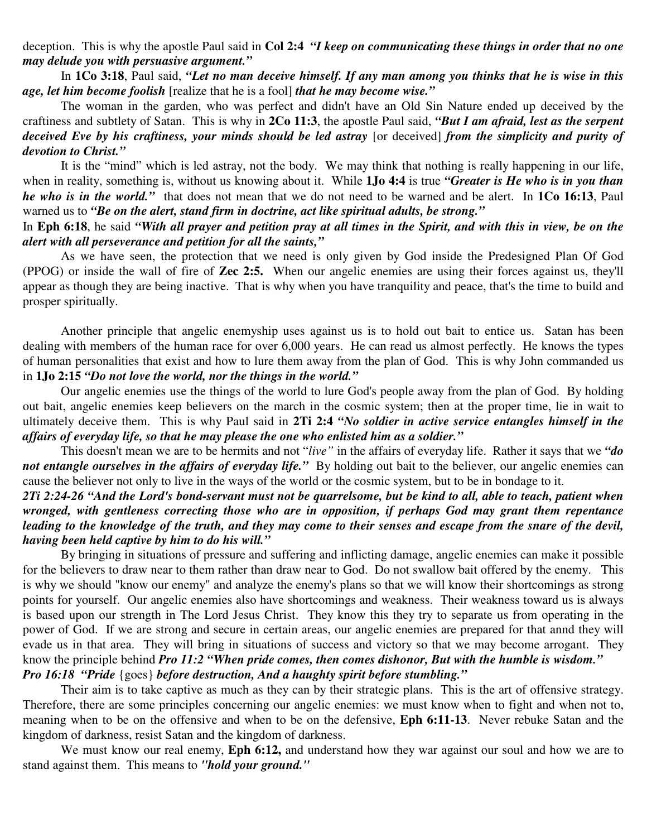deception. This is why the apostle Paul said in **Col 2:4** *"I keep on communicating these things in order that no one may delude you with persuasive argument."*

In 1Co 3:18, Paul said, "Let no man deceive himself. If any man among you thinks that he is wise in this *age, let him become foolish* [realize that he is a fool] *that he may become wise."*

The woman in the garden, who was perfect and didn't have an Old Sin Nature ended up deceived by the craftiness and subtlety of Satan. This is why in **2Co 11:3**, the apostle Paul said, *"But I am afraid, lest as the serpent* deceived Eve by his craftiness, your minds should be led astray [or deceived] from the simplicity and purity of *devotion to Christ."*

It is the "mind" which is led astray, not the body. We may think that nothing is really happening in our life, when in reality, something is, without us knowing about it. While **1Jo 4:4** is true *"Greater is He who is in you than he who is in the world."* that does not mean that we do not need to be warned and be alert. In **1Co 16:13**, Paul warned us to *"Be on the alert, stand firm in doctrine, act like spiritual adults, be strong."*

## In Eph 6:18, he said "With all prayer and petition pray at all times in the Spirit, and with this in view, be on the *alert with all perseverance and petition for all the saints,"*

As we have seen, the protection that we need is only given by God inside the Predesigned Plan Of God (PPOG) or inside the wall of fire of **Zec 2:5.** When our angelic enemies are using their forces against us, they'll appear as though they are being inactive. That is why when you have tranquility and peace, that's the time to build and prosper spiritually.

Another principle that angelic enemyship uses against us is to hold out bait to entice us. Satan has been dealing with members of the human race for over 6,000 years. He can read us almost perfectly. He knows the types of human personalities that exist and how to lure them away from the plan of God. This is why John commanded us in **1Jo 2:15** *"Do not love the world, nor the things in the world."*

Our angelic enemies use the things of the world to lure God's people away from the plan of God. By holding out bait, angelic enemies keep believers on the march in the cosmic system; then at the proper time, lie in wait to ultimately deceive them. This is why Paul said in **2Ti 2:4** *"No soldier in active service entangles himself in the affairs of everyday life, so that he may please the one who enlisted him as a soldier."*

This doesn't mean we are to be hermits and not "*live"* in the affairs of everyday life. Rather it says that we *"do not entangle ourselves in the affairs of everyday life."* By holding out bait to the believer, our angelic enemies can cause the believer not only to live in the ways of the world or the cosmic system, but to be in bondage to it.

2Ti 2:24-26 "And the Lord's bond-servant must not be auarrelsome, but be kind to all, able to teach, patient when *wronged, with gentleness correcting those who are in opposition, if perhaps God may grant them repentance* leading to the knowledge of the truth, and they may come to their senses and escape from the snare of the devil, *having been held captive by him to do his will."*

By bringing in situations of pressure and suffering and inflicting damage, angelic enemies can make it possible for the believers to draw near to them rather than draw near to God. Do not swallow bait offered by the enemy. This is why we should "know our enemy" and analyze the enemy's plans so that we will know their shortcomings as strong points for yourself. Our angelic enemies also have shortcomings and weakness. Their weakness toward us is always is based upon our strength in The Lord Jesus Christ. They know this they try to separate us from operating in the power of God. If we are strong and secure in certain areas, our angelic enemies are prepared for that annd they will evade us in that area. They will bring in situations of success and victory so that we may become arrogant. They know the principle behind *Pro 11:2 "When pride comes, then comes dishonor, But with the humble is wisdom." Pro 16:18 "Pride* {goes} *before destruction, And a haughty spirit before stumbling."*

Their aim is to take captive as much as they can by their strategic plans. This is the art of offensive strategy. Therefore, there are some principles concerning our angelic enemies: we must know when to fight and when not to, meaning when to be on the offensive and when to be on the defensive, **Eph 6:11-13**. Never rebuke Satan and the kingdom of darkness, resist Satan and the kingdom of darkness.

We must know our real enemy, **Eph 6:12,** and understand how they war against our soul and how we are to stand against them. This means to *"hold your ground."*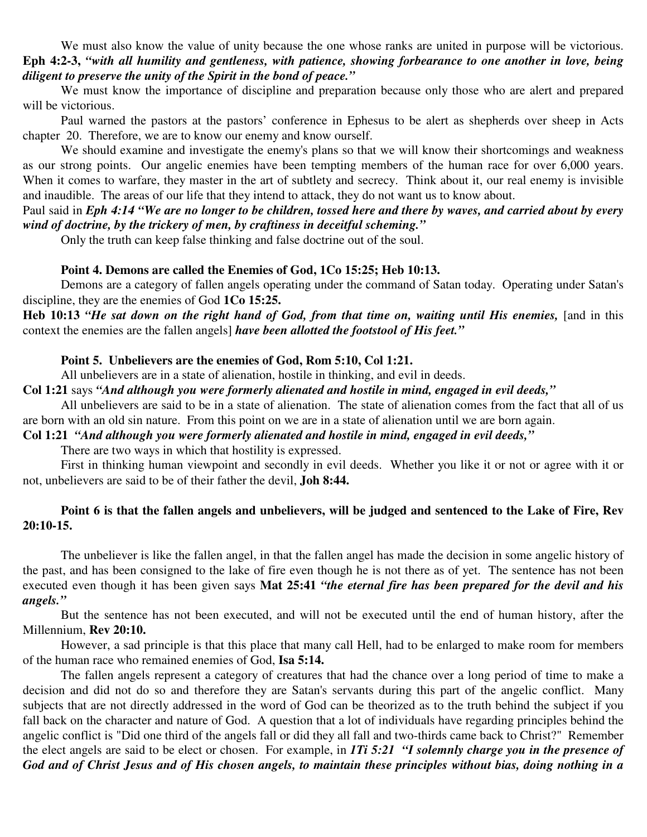We must also know the value of unity because the one whose ranks are united in purpose will be victorious. Eph 4:2-3, "with all humility and gentleness, with patience, showing forbearance to one another in love, being *diligent to preserve the unity of the Spirit in the bond of peace."*

We must know the importance of discipline and preparation because only those who are alert and prepared will be victorious.

Paul warned the pastors at the pastors' conference in Ephesus to be alert as shepherds over sheep in Acts chapter 20. Therefore, we are to know our enemy and know ourself.

We should examine and investigate the enemy's plans so that we will know their shortcomings and weakness as our strong points. Our angelic enemies have been tempting members of the human race for over 6,000 years. When it comes to warfare, they master in the art of subtlety and secrecy. Think about it, our real enemy is invisible and inaudible. The areas of our life that they intend to attack, they do not want us to know about.

#### Paul said in Eph 4:14 "We are no longer to be children, tossed here and there by waves, and carried about by every *wind of doctrine, by the trickery of men, by craftiness in deceitful scheming."*

Only the truth can keep false thinking and false doctrine out of the soul.

#### **Point 4. Demons are called the Enemies of God, 1Co 15:25; Heb 10:13.**

Demons are a category of fallen angels operating under the command of Satan today. Operating under Satan's discipline, they are the enemies of God **1Co 15:25.**

Heb 10:13 "He sat down on the right hand of God, from that time on, waiting until His enemies, [and in this context the enemies are the fallen angels] *have been allotted the footstool of His feet."*

#### **Point 5. Unbelievers are the enemies of God, Rom 5:10, Col 1:21.**

All unbelievers are in a state of alienation, hostile in thinking, and evil in deeds.

## **Col 1:21** says *"And although you were formerly alienated and hostile in mind, engaged in evil deeds,"*

All unbelievers are said to be in a state of alienation. The state of alienation comes from the fact that all of us are born with an old sin nature. From this point on we are in a state of alienation until we are born again.

**Col 1:21** *"And although you were formerly alienated and hostile in mind, engaged in evil deeds,"*

There are two ways in which that hostility is expressed.

First in thinking human viewpoint and secondly in evil deeds. Whether you like it or not or agree with it or not, unbelievers are said to be of their father the devil, **Joh 8:44.**

## Point 6 is that the fallen angels and unbelievers, will be judged and sentenced to the Lake of Fire, Rev **20:10-15.**

The unbeliever is like the fallen angel, in that the fallen angel has made the decision in some angelic history of the past, and has been consigned to the lake of fire even though he is not there as of yet. The sentence has not been executed even though it has been given says **Mat 25:41** *"the eternal fire has been prepared for the devil and his angels."*

But the sentence has not been executed, and will not be executed until the end of human history, after the Millennium, **Rev 20:10.**

However, a sad principle is that this place that many call Hell, had to be enlarged to make room for members of the human race who remained enemies of God, **Isa 5:14.**

The fallen angels represent a category of creatures that had the chance over a long period of time to make a decision and did not do so and therefore they are Satan's servants during this part of the angelic conflict. Many subjects that are not directly addressed in the word of God can be theorized as to the truth behind the subject if you fall back on the character and nature of God. A question that a lot of individuals have regarding principles behind the angelic conflict is "Did one third of the angels fall or did they all fall and two-thirds came back to Christ?" Remember the elect angels are said to be elect or chosen. For example, in *1Ti 5:21 "I solemnly charge you in the presence of* God and of Christ Jesus and of His chosen angels, to maintain these principles without bias, doing nothing in a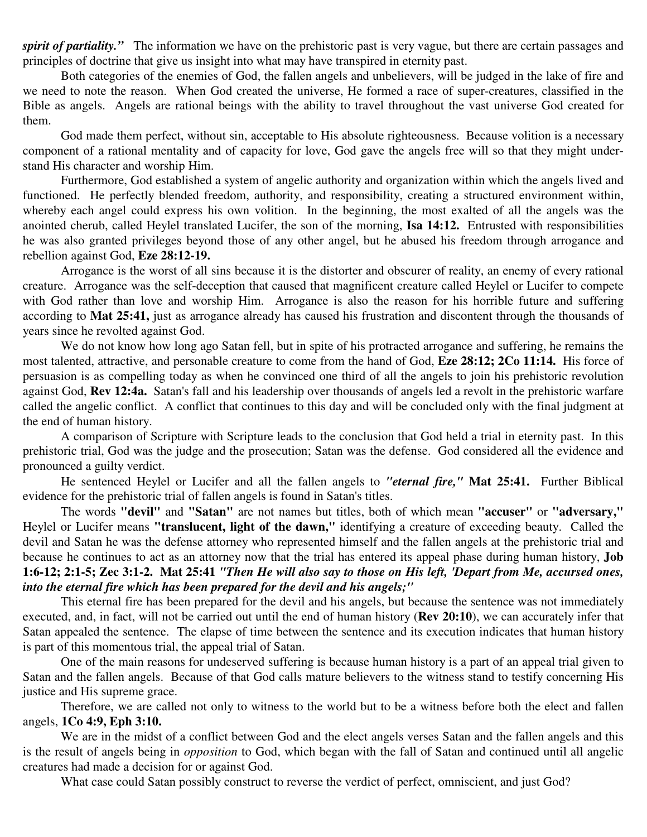*spirit of partiality.*" The information we have on the prehistoric past is very vague, but there are certain passages and principles of doctrine that give us insight into what may have transpired in eternity past.

Both categories of the enemies of God, the fallen angels and unbelievers, will be judged in the lake of fire and we need to note the reason. When God created the universe, He formed a race of super-creatures, classified in the Bible as angels. Angels are rational beings with the ability to travel throughout the vast universe God created for them.

God made them perfect, without sin, acceptable to His absolute righteousness. Because volition is a necessary component of a rational mentality and of capacity for love, God gave the angels free will so that they might understand His character and worship Him.

Furthermore, God established a system of angelic authority and organization within which the angels lived and functioned. He perfectly blended freedom, authority, and responsibility, creating a structured environment within, whereby each angel could express his own volition. In the beginning, the most exalted of all the angels was the anointed cherub, called Heylel translated Lucifer, the son of the morning, **Isa 14:12.** Entrusted with responsibilities he was also granted privileges beyond those of any other angel, but he abused his freedom through arrogance and rebellion against God, **Eze 28:12-19.**

Arrogance is the worst of all sins because it is the distorter and obscurer of reality, an enemy of every rational creature. Arrogance was the self-deception that caused that magnificent creature called Heylel or Lucifer to compete with God rather than love and worship Him. Arrogance is also the reason for his horrible future and suffering according to **Mat 25:41,** just as arrogance already has caused his frustration and discontent through the thousands of years since he revolted against God.

We do not know how long ago Satan fell, but in spite of his protracted arrogance and suffering, he remains the most talented, attractive, and personable creature to come from the hand of God, **Eze 28:12; 2Co 11:14.** His force of persuasion is as compelling today as when he convinced one third of all the angels to join his prehistoric revolution against God, **Rev 12:4a.** Satan's fall and his leadership over thousands of angels led a revolt in the prehistoric warfare called the angelic conflict. A conflict that continues to this day and will be concluded only with the final judgment at the end of human history.

A comparison of Scripture with Scripture leads to the conclusion that God held a trial in eternity past. In this prehistoric trial, God was the judge and the prosecution; Satan was the defense. God considered all the evidence and pronounced a guilty verdict.

He sentenced Heylel or Lucifer and all the fallen angels to *"eternal fire,"* **Mat 25:41.** Further Biblical evidence for the prehistoric trial of fallen angels is found in Satan's titles.

The words **"devil"** and **"Satan"** are not names but titles, both of which mean **"accuser"** or **"adversary,"** Heylel or Lucifer means **"translucent, light of the dawn,"** identifying a creature of exceeding beauty. Called the devil and Satan he was the defense attorney who represented himself and the fallen angels at the prehistoric trial and because he continues to act as an attorney now that the trial has entered its appeal phase during human history, **Job** 1:6-12; 2:1-5; Zec 3:1-2. Mat 25:41 "Then He will also say to those on His left, 'Depart from Me, accursed ones, *into the eternal fire which has been prepared for the devil and his angels;"*

This eternal fire has been prepared for the devil and his angels, but because the sentence was not immediately executed, and, in fact, will not be carried out until the end of human history (**Rev 20:10**), we can accurately infer that Satan appealed the sentence. The elapse of time between the sentence and its execution indicates that human history is part of this momentous trial, the appeal trial of Satan.

One of the main reasons for undeserved suffering is because human history is a part of an appeal trial given to Satan and the fallen angels. Because of that God calls mature believers to the witness stand to testify concerning His justice and His supreme grace.

Therefore, we are called not only to witness to the world but to be a witness before both the elect and fallen angels, **1Co 4:9, Eph 3:10.**

We are in the midst of a conflict between God and the elect angels verses Satan and the fallen angels and this is the result of angels being in *opposition* to God, which began with the fall of Satan and continued until all angelic creatures had made a decision for or against God.

What case could Satan possibly construct to reverse the verdict of perfect, omniscient, and just God?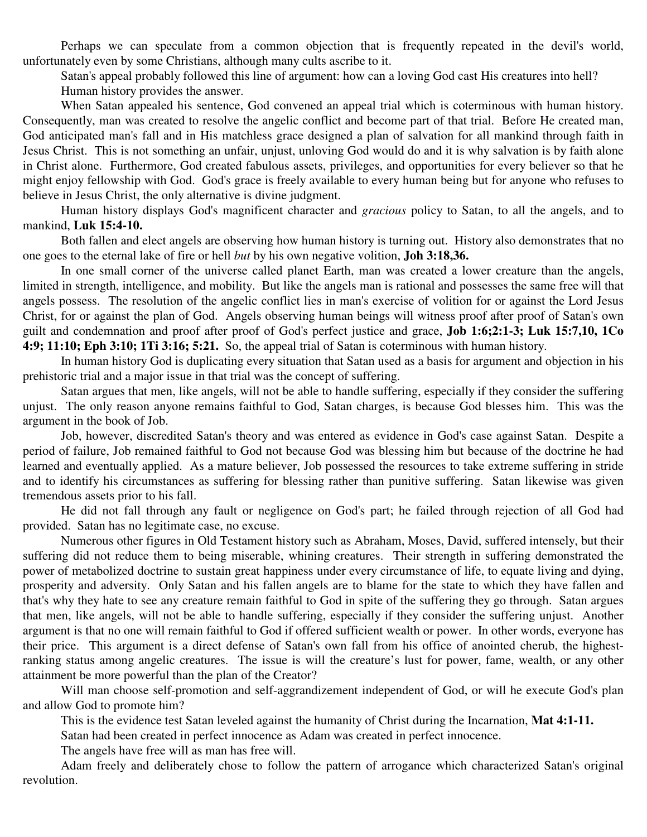Perhaps we can speculate from a common objection that is frequently repeated in the devil's world, unfortunately even by some Christians, although many cults ascribe to it.

Satan's appeal probably followed this line of argument: how can a loving God cast His creatures into hell? Human history provides the answer.

When Satan appealed his sentence, God convened an appeal trial which is coterminous with human history. Consequently, man was created to resolve the angelic conflict and become part of that trial. Before He created man, God anticipated man's fall and in His matchless grace designed a plan of salvation for all mankind through faith in Jesus Christ. This is not something an unfair, unjust, unloving God would do and it is why salvation is by faith alone in Christ alone. Furthermore, God created fabulous assets, privileges, and opportunities for every believer so that he might enjoy fellowship with God. God's grace is freely available to every human being but for anyone who refuses to believe in Jesus Christ, the only alternative is divine judgment.

Human history displays God's magnificent character and *gracious* policy to Satan, to all the angels, and to mankind, **Luk 15:4-10.**

Both fallen and elect angels are observing how human history is turning out. History also demonstrates that no one goes to the eternal lake of fire or hell *but* by his own negative volition, **Joh 3:18,36.**

In one small corner of the universe called planet Earth, man was created a lower creature than the angels, limited in strength, intelligence, and mobility. But like the angels man is rational and possesses the same free will that angels possess. The resolution of the angelic conflict lies in man's exercise of volition for or against the Lord Jesus Christ, for or against the plan of God. Angels observing human beings will witness proof after proof of Satan's own guilt and condemnation and proof after proof of God's perfect justice and grace, **Job 1:6;2:1-3; Luk 15:7,10, 1Co 4:9; 11:10; Eph 3:10; 1Ti 3:16; 5:21.** So, the appeal trial of Satan is coterminous with human history.

In human history God is duplicating every situation that Satan used as a basis for argument and objection in his prehistoric trial and a major issue in that trial was the concept of suffering.

Satan argues that men, like angels, will not be able to handle suffering, especially if they consider the suffering unjust. The only reason anyone remains faithful to God, Satan charges, is because God blesses him. This was the argument in the book of Job.

Job, however, discredited Satan's theory and was entered as evidence in God's case against Satan. Despite a period of failure, Job remained faithful to God not because God was blessing him but because of the doctrine he had learned and eventually applied. As a mature believer, Job possessed the resources to take extreme suffering in stride and to identify his circumstances as suffering for blessing rather than punitive suffering. Satan likewise was given tremendous assets prior to his fall.

He did not fall through any fault or negligence on God's part; he failed through rejection of all God had provided. Satan has no legitimate case, no excuse.

Numerous other figures in Old Testament history such as Abraham, Moses, David, suffered intensely, but their suffering did not reduce them to being miserable, whining creatures. Their strength in suffering demonstrated the power of metabolized doctrine to sustain great happiness under every circumstance of life, to equate living and dying, prosperity and adversity. Only Satan and his fallen angels are to blame for the state to which they have fallen and that's why they hate to see any creature remain faithful to God in spite of the suffering they go through. Satan argues that men, like angels, will not be able to handle suffering, especially if they consider the suffering unjust. Another argument is that no one will remain faithful to God if offered sufficient wealth or power. In other words, everyone has their price. This argument is a direct defense of Satan's own fall from his office of anointed cherub, the highestranking status among angelic creatures. The issue is will the creature's lust for power, fame, wealth, or any other attainment be more powerful than the plan of the Creator?

Will man choose self-promotion and self-aggrandizement independent of God, or will he execute God's plan and allow God to promote him?

This is the evidence test Satan leveled against the humanity of Christ during the Incarnation, **Mat 4:1-11.**

Satan had been created in perfect innocence as Adam was created in perfect innocence.

The angels have free will as man has free will.

Adam freely and deliberately chose to follow the pattern of arrogance which characterized Satan's original revolution.